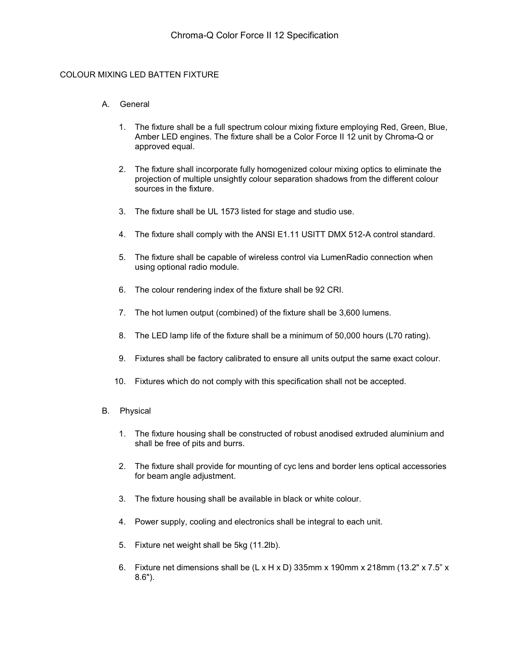### COLOUR MIXING LED BATTEN FIXTURE

### A. General

- 1. The fixture shall be a full spectrum colour mixing fixture employing Red, Green, Blue, Amber LED engines. The fixture shall be a Color Force II 12 unit by Chroma-Q or approved equal.
- 2. The fixture shall incorporate fully homogenized colour mixing optics to eliminate the projection of multiple unsightly colour separation shadows from the different colour sources in the fixture.
- 3. The fixture shall be UL 1573 listed for stage and studio use.
- 4. The fixture shall comply with the ANSI E1.11 USITT DMX 512-A control standard.
- 5. The fixture shall be capable of wireless control via LumenRadio connection when using optional radio module.
- 6. The colour rendering index of the fixture shall be 92 CRI.
- 7. The hot lumen output (combined) of the fixture shall be 3,600 lumens.
- 8. The LED lamp life of the fixture shall be a minimum of 50,000 hours (L70 rating).
- 9. Fixtures shall be factory calibrated to ensure all units output the same exact colour.
- 10. Fixtures which do not comply with this specification shall not be accepted.
- B. Physical
	- 1. The fixture housing shall be constructed of robust anodised extruded aluminium and shall be free of pits and burrs.
	- 2. The fixture shall provide for mounting of cyc lens and border lens optical accessories for beam angle adjustment.
	- 3. The fixture housing shall be available in black or white colour.
	- 4. Power supply, cooling and electronics shall be integral to each unit.
	- 5. Fixture net weight shall be 5kg (11.2lb).
	- 6. Fixture net dimensions shall be  $(L \times H \times D)$  335mm x 190mm x 218mm (13.2" x 7.5" x 8.6").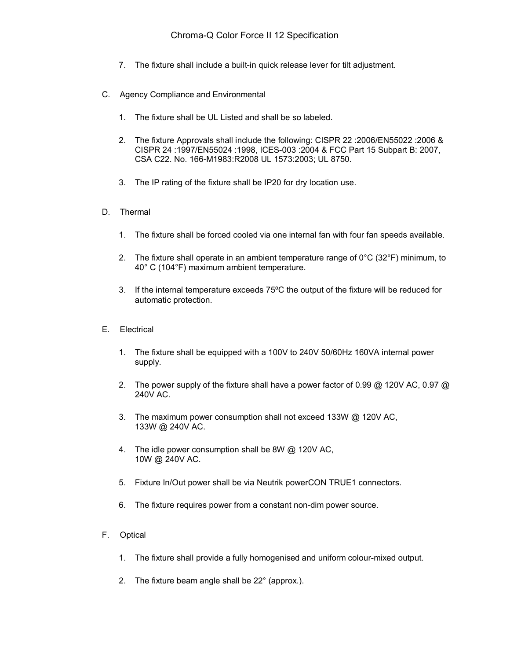- 7. The fixture shall include a built-in quick release lever for tilt adjustment.
- C. Agency Compliance and Environmental
	- 1. The fixture shall be UL Listed and shall be so labeled.
	- 2. The fixture Approvals shall include the following: CISPR 22 :2006/EN55022 :2006 & CISPR 24 :1997/EN55024 :1998, ICES-003 :2004 & FCC Part 15 Subpart B: 2007, CSA C22. No. 166-M1983:R2008 UL 1573:2003; UL 8750.
	- 3. The IP rating of the fixture shall be IP20 for dry location use.
- D. Thermal
	- 1. The fixture shall be forced cooled via one internal fan with four fan speeds available.
	- 2. The fixture shall operate in an ambient temperature range of  $0^{\circ}C$  (32 $^{\circ}F$ ) minimum, to 40° C (104°F) maximum ambient temperature.
	- 3. If the internal temperature exceeds 75ºC the output of the fixture will be reduced for automatic protection.
- E. Electrical
	- 1. The fixture shall be equipped with a 100V to 240V 50/60Hz 160VA internal power supply.
	- 2. The power supply of the fixture shall have a power factor of 0.99  $\omega$  120V AC, 0.97  $\omega$ 240V AC.
	- 3. The maximum power consumption shall not exceed 133W @ 120V AC, 133W @ 240V AC.
	- 4. The idle power consumption shall be 8W @ 120V AC, 10W @ 240V AC.
	- 5. Fixture In/Out power shall be via Neutrik powerCON TRUE1 connectors.
	- 6. The fixture requires power from a constant non-dim power source.
- F. Optical
	- 1. The fixture shall provide a fully homogenised and uniform colour-mixed output.
	- 2. The fixture beam angle shall be 22° (approx.).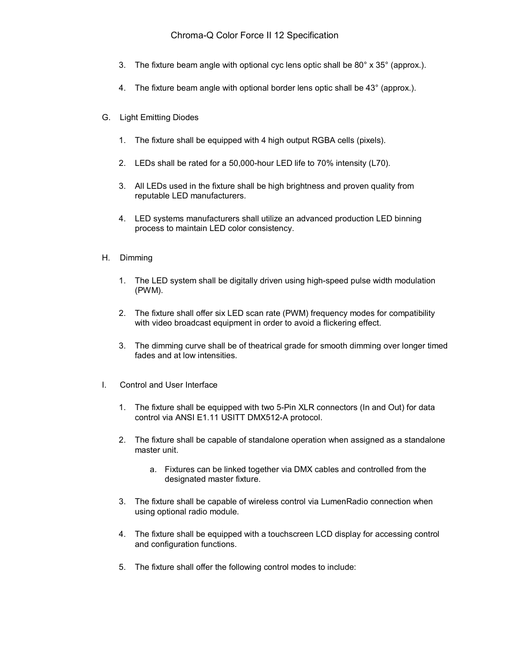## Chroma-Q Color Force II 12 Specification

- 3. The fixture beam angle with optional cyc lens optic shall be 80° x 35° (approx.).
- 4. The fixture beam angle with optional border lens optic shall be 43° (approx.).
- G. Light Emitting Diodes
	- 1. The fixture shall be equipped with 4 high output RGBA cells (pixels).
	- 2. LEDs shall be rated for a 50,000-hour LED life to 70% intensity (L70).
	- 3. All LEDs used in the fixture shall be high brightness and proven quality from reputable LED manufacturers.
	- 4. LED systems manufacturers shall utilize an advanced production LED binning process to maintain LED color consistency.
- H. Dimming
	- 1. The LED system shall be digitally driven using high-speed pulse width modulation (PWM).
	- 2. The fixture shall offer six LED scan rate (PWM) frequency modes for compatibility with video broadcast equipment in order to avoid a flickering effect.
	- 3. The dimming curve shall be of theatrical grade for smooth dimming over longer timed fades and at low intensities.
- I. Control and User Interface
	- 1. The fixture shall be equipped with two 5-Pin XLR connectors (In and Out) for data control via ANSI E1.11 USITT DMX512-A protocol.
	- 2. The fixture shall be capable of standalone operation when assigned as a standalone master unit.
		- a. Fixtures can be linked together via DMX cables and controlled from the designated master fixture.
	- 3. The fixture shall be capable of wireless control via LumenRadio connection when using optional radio module.
	- 4. The fixture shall be equipped with a touchscreen LCD display for accessing control and configuration functions.
	- 5. The fixture shall offer the following control modes to include: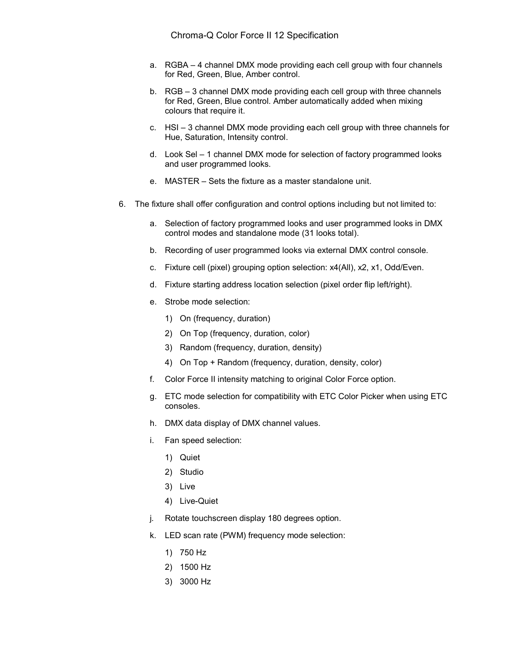- a. RGBA 4 channel DMX mode providing each cell group with four channels for Red, Green, Blue, Amber control.
- b. RGB 3 channel DMX mode providing each cell group with three channels for Red, Green, Blue control. Amber automatically added when mixing colours that require it.
- c. HSI 3 channel DMX mode providing each cell group with three channels for Hue, Saturation, Intensity control.
- d. Look Sel 1 channel DMX mode for selection of factory programmed looks and user programmed looks.
- e. MASTER Sets the fixture as a master standalone unit.
- 6. The fixture shall offer configuration and control options including but not limited to:
	- a. Selection of factory programmed looks and user programmed looks in DMX control modes and standalone mode (31 looks total).
	- b. Recording of user programmed looks via external DMX control console.
	- c. Fixture cell (pixel) grouping option selection: x4(All), x2, x1, Odd/Even.
	- d. Fixture starting address location selection (pixel order flip left/right).
	- e. Strobe mode selection:
		- 1) On (frequency, duration)
		- 2) On Top (frequency, duration, color)
		- 3) Random (frequency, duration, density)
		- 4) On Top + Random (frequency, duration, density, color)
	- f. Color Force II intensity matching to original Color Force option.
	- g. ETC mode selection for compatibility with ETC Color Picker when using ETC consoles.
	- h. DMX data display of DMX channel values.
	- i. Fan speed selection:
		- 1) Quiet
		- 2) Studio
		- 3) Live
		- 4) Live-Quiet
	- j. Rotate touchscreen display 180 degrees option.
	- k. LED scan rate (PWM) frequency mode selection:
		- 1) 750 Hz
		- 2) 1500 Hz
		- 3) 3000 Hz